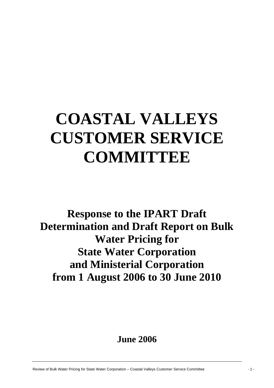# **COASTAL VALLEYS CUSTOMER SERVICE COMMITTEE**

**Response to the IPART Draft Determination and Draft Report on Bulk Water Pricing for State Water Corporation and Ministerial Corporation from 1 August 2006 to 30 June 2010** 

# **June 2006**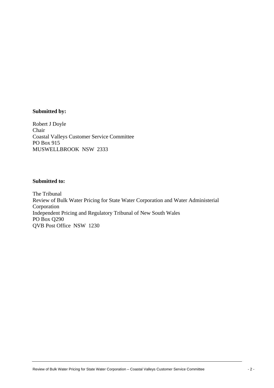#### **Submitted by:**

Robert J Doyle Chair Coastal Valleys Customer Service Committee PO Box 915 MUSWELLBROOK NSW 2333

## **Submitted to:**

The Tribunal Review of Bulk Water Pricing for State Water Corporation and Water Administerial Corporation Independent Pricing and Regulatory Tribunal of New South Wales PO Box Q290 QVB Post Office NSW 1230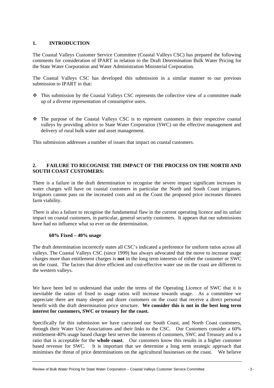### **1. INTRODUCTION**

The Coastal Valleys Customer Service Committee (Coastal Valleys CSC) has prepared the following comments for consideration of IPART in relation to the Draft Determination Bulk Water Pricing for the State Water Corporation and Water Administration Ministerial Corporation.

The Coastal Valleys CSC has developed this submission in a similar manner to our previous submission to IPART in that:

- This submission by the Coastal Valleys CSC represents the collective view of a committee made up of a diverse representation of consumptive users.
- $\cdot \cdot$  The purpose of the Coastal Valleys CSC is to represent customers in their respective coastal valleys by providing advice to State Water Corporation (SWC) on the effective management and delivery of rural bulk water and asset management.

This submission addresses a number of issues that impact on coastal customers.

#### **2. FAILURE TO RECOGNISE THE IMPACT OF THE PROCESS ON THE NORTH AND SOUTH COAST CUSTOMERS:**

There is a failure in the draft determination to recognise the severe impact significant increases in water charges will have on coastal customers in particular the North and South Coast irrigators. Irrigators cannot pass on the increased costs and on the Coast the proposed price increases threaten farm viability.

There is also a failure to recognise the fundamental flaw in the current operating licence and its unfair impact on coastal customers, in particular, general security customers. It appears that our submissions have had no influence what so ever on the determination.

#### **60% Fixed – 40% usage**

The draft determination incorrectly states all CSC's indicated a preference for uniform ratios across all valleys. The Coastal Valleys CSC (since 1999) has always advocated that the move to increase usage charges more than entitlement charges is **not** in the long term interests of either the customer or SWC on the coast. The factors that drive efficient and cost-effective water use on the coast are different to the western valleys.

We have been led to understand that under the terms of the Operating Licence of SWC that it is inevitable the ratios of fixed to usage ratios will increase towards usage. As a committee we appreciate there are many sleeper and dozer customers on the coast that receive a direct personal benefit with the draft determination price structure. **We consider this is not in the best long term interest for customers, SWC or treasury for the coast.**

Specifically for this submission we have canvassed our South Coast, and North Coast customers, through their Water User Associations and their links to the CSC. Our Customers consider a 60% entitlement-40% usage based charge best serves the interests of customers, SWC and Treasury and is a ratio that is acceptable for the **whole coast**. Our customers know this results in a higher customer based revenue for SWC. It is important that we determine a long term strategic approach that minimises the threat of price determinations on the agricultural businesses on the coast. We believe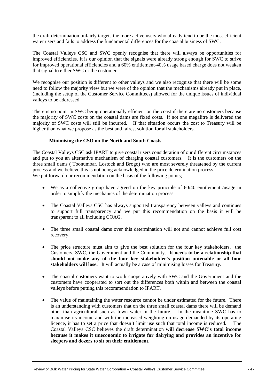the draft determination unfairly targets the more active users who already tend to be the most efficient water users and fails to address the fundamental differences for the coastal business of SWC.

The Coastal Valleys CSC and SWC openly recognise that there will always be opportunities for improved efficiencies. It is our opinion that the signals were already strong enough for SWC to strive for improved operational efficiencies and a 60% entitlement-40% usage based charge does not weaken that signal to either SWC or the customer.

We recognise our position is different to other valleys and we also recognise that there will be some need to follow the majority view but we were of the opinion that the mechanisms already put in place, (including the setup of the Customer Service Committees) allowed for the unique issues of individual valleys to be addressed.

There is no point in SWC being operationally efficient on the coast if there are no customers because the majority of SWC costs on the coastal dams are fixed costs. If not one megalitre is delivered the majority of SWC costs will still be incurred. If that situation occurs the cost to Treasury will be higher than what we propose as the best and fairest solution for all stakeholders.

#### **Minimising the CSO on the North and South Coasts**

The Coastal Valleys CSC ask IPART to give coastal users consideration of our different circumstances and put to you an alternative mechanism of charging coastal customers. It is the customers on the three small dams ( Toonumbar, Lostock and Brogo) who are most severely threatened by the current process and we believe this is not being acknowledged in the price determination process. We put forward our recommendation on the basis of the following points;

- We as a collective group have agreed on the key principle of  $60/40$  entitlement /usage in order to simplify the mechanics of the determination process.
- The Coastal Valleys CSC has always supported transparency between valleys and continues to support full transparency and we put this recommendation on the basis it will be transparent to all including COAG.
- The three small coastal dams over this determination will not and cannot achieve full cost recovery.
- The price structure must aim to give the best solution for the four key stakeholders, the Customers, SWC, the Government and the Community. **It needs to be a relationship that should not make any of the four key stakeholder's position untenable or all four stakeholders will lose.** It will actually be a case of minimising losses for Treasury.
- The coastal customers want to work cooperatively with SWC and the Government and the customers have cooperated to sort out the differences both within and between the coastal valleys before putting this recommendation to IPART.
- The value of maintaining the water resource cannot be under estimated for the future. There is an understanding with customers that on the three small coastal dams there will be demand other than agricultural such as town water in the future. In the meantime SWC has to maximise its income and with the increased weighting on usage demanded by its operating licence, it has to set a price that doesn't limit use such that total income is reduced. The Coastal Valleys CSC believes the draft determination **will decrease SWC's total income because it makes it uneconomic to irrigate for dairying and provides an incentive for sleepers and dozers to sit on their entitlement.**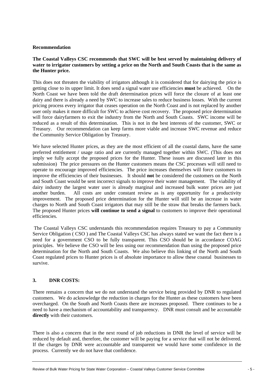#### **Recommendation**

#### **The Coastal Valleys CSC recommends that SWC will be best served by maintaining delivery of water to irrigator customers by setting a price on the North and South Coasts that is the same as the Hunter price.**

This does not threaten the viability of irrigators although it is considered that for dairying the price is getting close to its upper limit. It does send a signal water use efficiencies **must** be achieved. On the North Coast we have been told the draft determination prices will force the closure of at least one dairy and there is already a need by SWC to increase sales to reduce business losses. With the current pricing process every irrigator that ceases operation on the North Coast and is not replaced by another user only makes it more difficult for SWC to achieve cost recovery. The proposed price determination will force dairyfarmers to exit the industry from the North and South Coasts. SWC income will be reduced as a result of this determination. This is not in the best interests of the customer, SWC or Treasury. Our recommendation can keep farms more viable and increase SWC revenue and reduce the Community Service Obligation by Treasury.

We have selected Hunter prices, as they are the most efficient of all the coastal dams, have the same preferred entitlement / usage ratio and are currently managed together within SWC. (This does not imply we fully accept the proposed prices for the Hunter. These issues are discussed later in this submission) The price pressures on the Hunter customers means the CSC processes will still need to operate to encourage improved efficiencies. The price increases themselves will force customers to improve the efficiencies of their businesses. It should **not** be considered the customers on the North and South Coast would be sent incorrect signals to improve their water management. The viability of dairy industry the largest water user is already marginal and increased bulk water prices are just another burden. All costs are under constant review as is any opportunity for a productivity improvement. The proposed price determination for the Hunter will still be an increase in water charges to North and South Coast irrigators that may still be the straw that breaks the farmers back. The proposed Hunter prices **will continue to send a signal** to customers to improve their operational efficiencies.

 The Coastal Valleys CSC understands this recommendation requires Treasury to pay a Community Service Obligation ( CSO ) and The Coastal Valleys CSC has always stated we want the fact there is a need for a government CSO to be fully transparent. This CSO should be in accordance COAG principles. We believe the CSO will be less using our recommendation than using the proposed price determination for the North and South Coasts. We also believe this linking of the North and South Coast regulated prices to Hunter prices is of absolute importance to allow these coastal businesses to survive.

#### **3. DNR COSTS:**

There remains a concern that we do not understand the service being provided by DNR to regulated customers. We do acknowledge the reduction in charges for the Hunter as these customers have been overcharged. On the South and North Coasts there are increases proposed. There continues to be a need to have a mechanism of accountability and transparency. DNR must consult and be accountable **directly** with their customers.

There is also a concern that in the next round of job reductions in DNR the level of service will be reduced by default and, therefore, the customer will be paying for a service that will not be delivered. If the charges by DNR were accountable and transparent we would have some confidence in the process. Currently we do not have that confidence.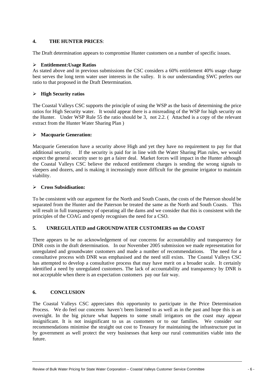## **4. THE HUNTER PRICES**:

The Draft determination appears to compromise Hunter customers on a number of specific issues.

#### ¾ **Entitlement:Usage Ratios**

As stated above and in previous submissions the CSC considers a 60% entitlement 40% usage charge best serves the long term water user interests in the valley. It is our understanding SWC prefers our ratio to that proposed in the Draft Determination.

#### ¾ **High Security ratios**

The Coastal Valleys CSC supports the principle of using the WSP as the basis of determining the price ratios for High Security water. It would appear there is a misreading of the WSP for high security on the Hunter. Under WSP Rule 55 the ratio should be 3, not 2.2. ( Attached is a copy of the relevant extract from the Hunter Water Sharing Plan )

#### ¾ **Macquarie Generation:**

Macquarie Generation have a security above High and yet they have no requirement to pay for that additional security. If the security is paid for in line with the Water Sharing Plan rules, we would expect the general security user to get a fairer deal. Market forces will impact in the Hunter although the Coastal Valleys CSC believe the reduced entitlement charges is sending the wrong signals to sleepers and dozers, and is making it increasingly more difficult for the genuine irrigator to maintain viability.

#### ¾ **Cross Subsidisation:**

To be consistent with our argument for the North and South Coasts, the costs of the Paterson should be separated from the Hunter and the Paterson be treated the same as the North and South Coasts. This will result in full transparency of operating all the dams and we consider that this is consistent with the principles of the COAG and openly recognises the need for a CSO.

## **5. UNREGULATED and GROUNDWATER CUSTOMERS on the COAST**

There appears to be no acknowledgement of our concerns for accountability and transparency for DNR costs in the draft determination. In our November 2005 submission we made representation for unregulated and groundwater customers and made a number of recommendations. The need for a consultative process with DNR was emphasised and the need still exists. The Coastal Valleys CSC has attempted to develop a consultative process that may have merit on a broader scale. It certainly identified a need by unregulated customers. The lack of accountability and transparency by DNR is not acceptable when there is an expectation customers pay our fair way.

## **6. CONCLUSION**

The Coastal Valleys CSC appreciates this opportunity to participate in the Price Determination Process. We do feel our concerns haven't been listened to as well as in the past and hope this is an oversight. In the big picture what happens to some small irrigators on the coast may appear insignificant. It is not insignificant to us as customers or to our families. We consider our recommendations minimise the straight out cost to Treasury for maintaining the infrastructure put in by government as well protect the very businesses that keep our rural communities viable into the future.